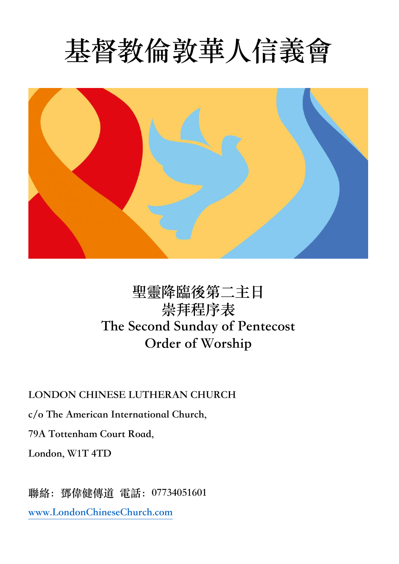# **基督教倫敦華⼈信義會**



# **聖靈降臨後第⼆主⽇ 崇拜程序表 The Second Sunday of Pentecost Order of Worship**

**LONDON CHINESE LUTHERAN CHURCH**

**c/o The American International Church,**

**79A Tottenham Court Road,**

**London, W1T 4TD**

**聯絡:鄧偉健傳道 電話:07734051601**

**www.LondonChineseChurch.com**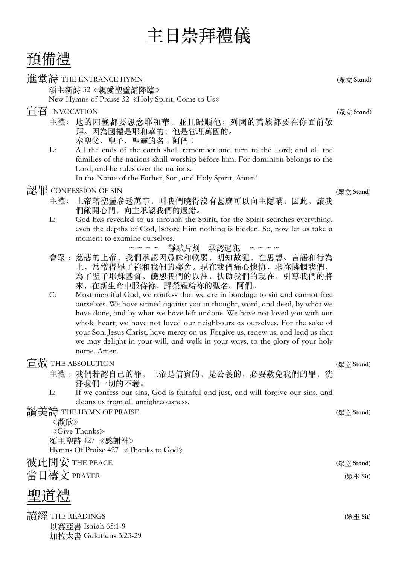預備禮

#### 進堂詩 THE ENTRANCE HYMN **(眾⽴ Stand)**

頌主新詩 32《親愛聖靈請降臨》 New Hymns of Praise 32《Holy Spirit, Come to Us》

## 宣召 INVOCATION **(眾⽴ Stand)**

- 主禮: 地的四極都要想念耶和華, 並且歸順他; 列國的萬族都要在你面前敬 拜。因為國權是耶和華的;他是管理萬國的。 奉聖父、聖子、聖靈的名!阿們!
- L: All the ends of the earth shall remember and turn to the Lord; and all the families of the nations shall worship before him. For dominion belongs to the Lord, and he rules over the nations. In the Name of the Father, Son, and Holy Spirit, Amen!

## 認罪 CONFESSION OF SIN **(眾⽴ Stand)**

- 主禮: 上帝藉聖靈參透萬事,叫我們曉得沒有甚麼可以向主隱瞞;因此,讓我 們敞開心門, 向主承認我們的過錯。
- L: God has revealed to us through the Spirit, for the Spirit searches everything, even the depths of God, before Him nothing is hidden. So, now let us take a moment to examine ourselves.<br> $\approx \approx \approx \approx \frac{3\pi}{100}$

靜默片刻 承認過犯 ~~~~

- 會眾﹕ 慈悲的上帝, 我們承認因愚昧和軟弱, 明知故犯, 在思想、言語和行為 上,常常得罪了祢和我們的鄰舍。現在我們痛心懊悔,求祢憐憫我們, 為了聖子耶穌基督,饒恕我們的以往,扶助我們的現在,引導我們的將 來,在新生命中服侍祢,歸榮耀給祢的聖名。阿們。
- C: Most merciful God, we confess that we are in bondage to sin and cannot free ourselves. We have sinned against you in thought, word, and deed, by what we have done, and by what we have left undone. We have not loved you with our whole heart; we have not loved our neighbours as ourselves. For the sake of your Son, Jesus Christ, have mercy on us. Forgive us, renew us, and lead us that we may delight in your will, and walk in your ways, to the glory of your holy name. Amen.

## 宣赦 THE ABSOLUTION **(眾⽴ Stand)**

- 主禮: 我們若認自己的罪,上帝是信實的,是公義的,必要赦免我們的罪,洗 淨我們一切的不義。
- L: If we confess our sins, God is faithful and just, and will forgive our sins, and cleans us from all unrighteousness.

讚美詩 THE HYMN OF PRAISE **(眾⽴ Stand)**

《歡欣》 《Give Thanks》 頌主聖詩 427 《感謝神》 Hymns Of Praise 427 《Thanks to God》

## 彼此問安 THE PEACE **(眾⽴ Stand)**

當⽇禱⽂ PRAYER **(眾坐 Sit)**

## 聖道禮

讀經 THE READINGS **(眾坐 Sit)** 以賽亞書 Isaiah 65:1-9 加拉太書 Galatians 3:23-29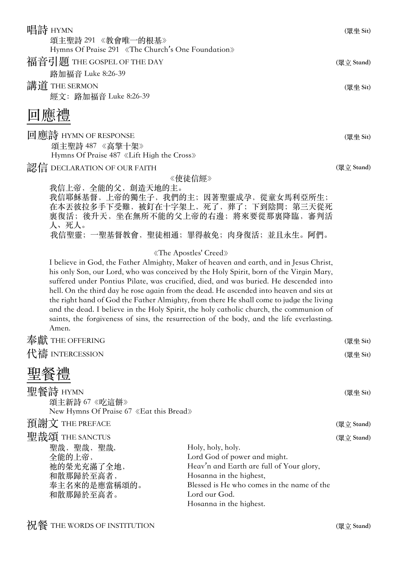| 唱詩 HYMN<br>頌主聖詩 291 《教會唯一的根基》<br>Hymns Of Praise 291 «The Church's One Foundation»               |                                                                                                                                                                                                                                                                                                                                                                                                                                                                                                                                                                                                                                                                                | (眾坐 Sit)   |
|--------------------------------------------------------------------------------------------------|--------------------------------------------------------------------------------------------------------------------------------------------------------------------------------------------------------------------------------------------------------------------------------------------------------------------------------------------------------------------------------------------------------------------------------------------------------------------------------------------------------------------------------------------------------------------------------------------------------------------------------------------------------------------------------|------------|
| 福音引題 THE GOSPEL OF THE DAY<br>路加福音 Luke 8:26-39                                                  |                                                                                                                                                                                                                                                                                                                                                                                                                                                                                                                                                                                                                                                                                | (眾立 Stand) |
| 講道 THE SERMON<br>經文: 路加福音 Luke 8:26-39                                                           |                                                                                                                                                                                                                                                                                                                                                                                                                                                                                                                                                                                                                                                                                | (眾坐 Sit)   |
| 回應禮                                                                                              |                                                                                                                                                                                                                                                                                                                                                                                                                                                                                                                                                                                                                                                                                |            |
| 回應詩 HYMN OF RESPONSE<br>頌主聖詩 487 《高擎十架》<br>Hymns Of Praise 487 «Lift High the Cross»             |                                                                                                                                                                                                                                                                                                                                                                                                                                                                                                                                                                                                                                                                                | (眾坐 Sit)   |
| 認信 DECLARATION OF OUR FAITH                                                                      | 《使徒信經》                                                                                                                                                                                                                                                                                                                                                                                                                                                                                                                                                                                                                                                                         | (眾立 Stand) |
| 我信上帝, 全能的父, 創造天地的主。<br>人、死人。                                                                     | 我信耶穌基督,上帝的獨生子,我們的主;因著聖靈成孕,從童女馬利亞所生;<br>在本丟彼拉多手下受難,被釘在十字架上,死了,葬了;下到陰間;第三天從死<br>裏復活; 後升天, 坐在無所不能的父上帝的右邊; 將來要從那裏降臨, 審判活<br>我信聖靈; 一聖基督教會, 聖徒相通; 罪得赦免; 肉身復活; 並且永生。阿們。                                                                                                                                                                                                                                                                                                                                                                                                                                                                                                               |            |
| Amen.                                                                                            | «The Apostles' Creed»<br>I believe in God, the Father Almighty, Maker of heaven and earth, and in Jesus Christ,<br>his only Son, our Lord, who was conceived by the Holy Spirit, born of the Virgin Mary,<br>suffered under Pontius Pilate, was crucified, died, and was buried. He descended into<br>hell. On the third day he rose again from the dead. He ascended into heaven and sits at<br>the right hand of God the Father Almighty, from there He shall come to judge the living<br>and the dead. I believe in the Holy Spirit, the holy catholic church, the communion of<br>saints, the forgiveness of sins, the resurrection of the body, and the life everlasting. |            |
| 奉獻 THE OFFERING                                                                                  |                                                                                                                                                                                                                                                                                                                                                                                                                                                                                                                                                                                                                                                                                | (眾坐 Sit)   |
| 代禱 INTERCESSION                                                                                  |                                                                                                                                                                                                                                                                                                                                                                                                                                                                                                                                                                                                                                                                                | (眾坐 Sit)   |
| 聖餐禮                                                                                              |                                                                                                                                                                                                                                                                                                                                                                                                                                                                                                                                                                                                                                                                                |            |
| 聖餐詩 HYMN<br>頌主新詩 67 《吃這餅》<br>New Hymns Of Praise 67 «Eat this Bread»                             |                                                                                                                                                                                                                                                                                                                                                                                                                                                                                                                                                                                                                                                                                | (眾坐 Sit)   |
| 預謝文 THE PREFACE                                                                                  |                                                                                                                                                                                                                                                                                                                                                                                                                                                                                                                                                                                                                                                                                | (眾立 Stand) |
| 聖哉頌 THE SANCTUS<br>聖哉, 聖哉, 聖哉,<br>全能的上帝,<br>祂的榮光充滿了全地,<br>和散那歸於至高者,<br>奉主名來的是應當稱頌的。<br>和散那歸於至高者。 | Holy, holy, holy.<br>Lord God of power and might.<br>Heav'n and Earth are full of Your glory,<br>Hosanna in the highest,<br>Blessed is He who comes in the name of the<br>Lord our God.<br>Hosanna in the highest.                                                                                                                                                                                                                                                                                                                                                                                                                                                             | (眾立 Stand) |